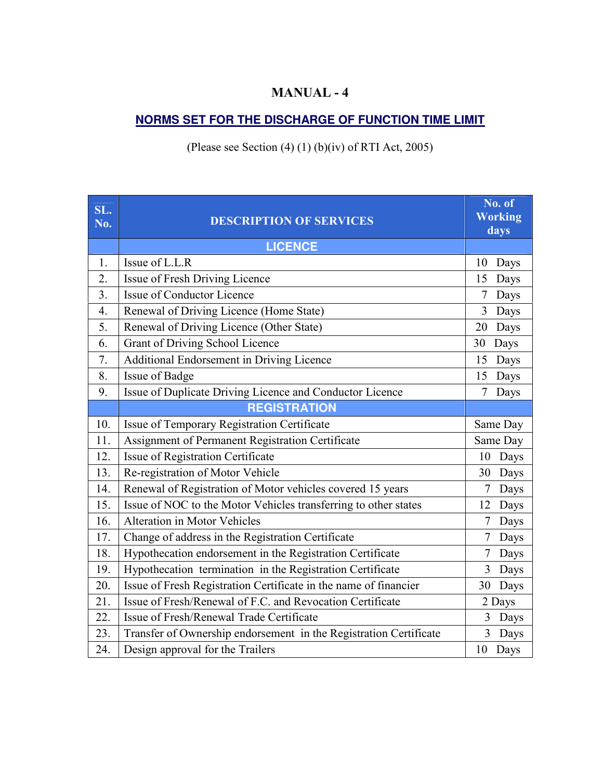## **MANUAL-4**

## NORMS SET FOR THE DISCHARGE OF FUNCTION TIME LIMIT

(Please see Section  $(4)$   $(1)$   $(b)(iv)$  of RTI Act, 2005)

| SL.<br>No. | <b>DESCRIPTION OF SERVICES</b>                                    | No. of<br><b>Working</b><br>days |
|------------|-------------------------------------------------------------------|----------------------------------|
|            | <b>LICENCE</b>                                                    |                                  |
| 1.         | Issue of L.L.R                                                    | 10<br>Days                       |
| 2.         | Issue of Fresh Driving Licence                                    | 15<br>Days                       |
| 3.         | Issue of Conductor Licence                                        | $\overline{7}$<br>Days           |
| 4.         | Renewal of Driving Licence (Home State)                           | 3<br>Days                        |
| 5.         | Renewal of Driving Licence (Other State)                          | 20<br>Days                       |
| 6.         | Grant of Driving School Licence                                   | 30<br>Days                       |
| 7.         | Additional Endorsement in Driving Licence                         | 15<br>Days                       |
| 8.         | Issue of Badge                                                    | Days<br>15                       |
| 9.         | Issue of Duplicate Driving Licence and Conductor Licence          | $\overline{7}$<br>Days           |
|            | <b>REGISTRATION</b>                                               |                                  |
| 10.        | Issue of Temporary Registration Certificate                       | Same Day                         |
| 11.        | Assignment of Permanent Registration Certificate                  | Same Day                         |
| 12.        | Issue of Registration Certificate                                 | 10<br>Days                       |
| 13.        | Re-registration of Motor Vehicle                                  | Days<br>30                       |
| 14.        | Renewal of Registration of Motor vehicles covered 15 years        | $\overline{7}$<br>Days           |
| 15.        | Issue of NOC to the Motor Vehicles transferring to other states   | Days<br>12                       |
| 16.        | <b>Alteration in Motor Vehicles</b>                               | Days<br>7                        |
| 17.        | Change of address in the Registration Certificate                 | $\tau$<br>Days                   |
| 18.        | Hypothecation endorsement in the Registration Certificate         | Days                             |
| 19.        | Hypothecation termination in the Registration Certificate         | Days<br>3                        |
| 20.        | Issue of Fresh Registration Certificate in the name of financier  | Days<br>30                       |
| 21.        | Issue of Fresh/Renewal of F.C. and Revocation Certificate         | 2 Days                           |
| 22.        | Issue of Fresh/Renewal Trade Certificate                          | 3<br>Days                        |
| 23.        | Transfer of Ownership endorsement in the Registration Certificate | 3<br>Days                        |
| 24.        | Design approval for the Trailers                                  | 10<br>Days                       |